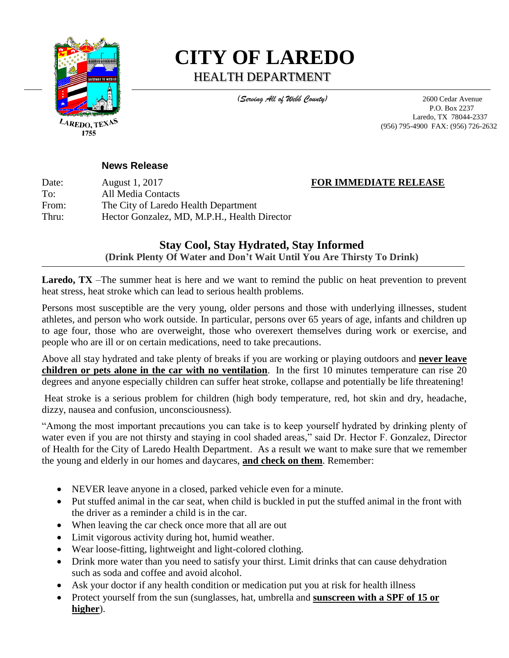

<sup>lare</sup>do, tex 1755

# **CITY OF LAREDO** HEALTH DEPARTMENT

 *(Serving All of Webb County)* 2600 Cedar Avenue P.O. Box 2237 Laredo, TX 78044-2337 (956) 795-4900 FAX: (956) 726-2632

### **News Release**

Date: August 1, 2017 **FOR IMMEDIATE RELEASE** To: All Media Contacts From: The City of Laredo Health Department Thru: Hector Gonzalez, MD, M.P.H., Health Director

# **Stay Cool, Stay Hydrated, Stay Informed (Drink Plenty Of Water and Don't Wait Until You Are Thirsty To Drink)**

Laredo, TX –The summer heat is here and we want to remind the public on heat prevention to prevent heat stress, heat stroke which can lead to serious health problems.

Persons most susceptible are the very young, older persons and those with underlying illnesses, student athletes, and person who work outside. In particular, persons over 65 years of age, infants and children up to age four, those who are overweight, those who overexert themselves during work or exercise, and people who are ill or on certain medications, need to take precautions.

Above all stay hydrated and take plenty of breaks if you are working or playing outdoors and **never leave children or pets alone in the car with no ventilation**. In the first 10 minutes temperature can rise 20 degrees and anyone especially children can suffer heat stroke, collapse and potentially be life threatening!

Heat stroke is a serious problem for children (high body temperature, red, hot skin and dry, headache, dizzy, nausea and confusion, unconsciousness).

"Among the most important precautions you can take is to keep yourself hydrated by drinking plenty of water even if you are not thirsty and staying in cool shaded areas," said Dr. Hector F. Gonzalez, Director of Health for the City of Laredo Health Department. As a result we want to make sure that we remember the young and elderly in our homes and daycares, **and check on them**. Remember:

- NEVER leave anyone in a closed, parked vehicle even for a minute.
- Put stuffed animal in the car seat, when child is buckled in put the stuffed animal in the front with the driver as a reminder a child is in the car.
- When leaving the car check once more that all are out
- Limit vigorous activity during hot, humid weather.
- Wear loose-fitting, lightweight and light-colored clothing.
- Drink more water than you need to satisfy your thirst. Limit drinks that can cause dehydration such as soda and coffee and avoid alcohol.
- Ask your doctor if any health condition or medication put you at risk for health illness
- Protect yourself from the sun (sunglasses, hat, umbrella and **sunscreen with a SPF of 15 or higher**).